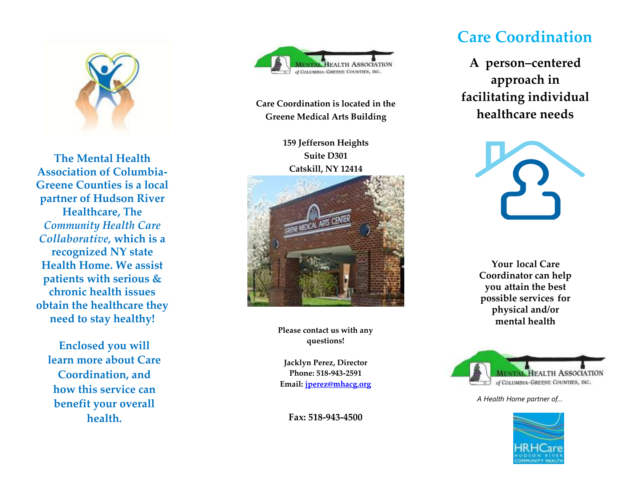

**The Mental Health Association of Columbia - Greene Counties is a local partner of Hudson River Healthcare, The**  *Community Health Care Collaborative,* **which is a recognized NY state Health Home. We assist patients with serious & chronic health issues obtain the healthcare they need to stay healthy !**

**Enclosed you will learn more about Care Coordination, and how this service can benefit your overall health.** 



**Care Coordination is located in the Greene Medical Arts Building**

> **159 Jefferson Heights Suite D301 Catskill, NY 12414**



**Please contact us with any questions!**

**Jacklyn Perez, Director Phone: 518 -943 -2591 Email: [jperez@mhacg.org](mailto:jperez@mhacg.org)**

**Fax: 518 -943 -4500**

# **Care Coordination**

**A person–centered approach in facilitating individual healthcare need s**



**Your local Care Coordinator can help you a ttain the best possible services for physical and/or mental healt h**



*A Health Home partner of…*